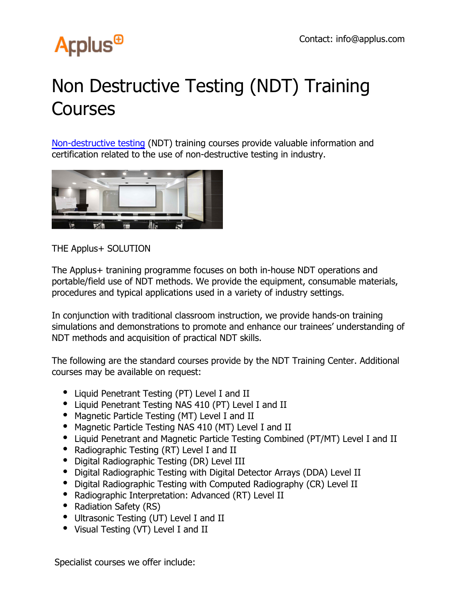## **Arplus<sup>®</sup>**

## Non Destructive Testing (NDT) Training **Courses**

Non-destructive testing (NDT) training courses provide valuable information and certification related to the use of non-destructive testing in industry.



THE Applus+ SOLUTION

The Applus+ tranining programme focuses on both in-house NDT operations and portable/field use of NDT methods. We provide the equipment, consumable materials, procedures and typical applications used in a variety of industry settings.

In conjunction with traditional classroom instruction, we provide hands-on training simulations and demonstrations to promote and enhance our trainees' understanding of NDT methods and acquisition of practical NDT skills.

The following are the standard courses provide by the NDT Training Center. Additional courses may be available on request:

- Liquid Penetrant Testing (PT) Level I and II
- Liquid Penetrant Testing NAS 410 (PT) Level I and II
- Magnetic Particle Testing (MT) Level I and II
- Magnetic Particle Testing NAS 410 (MT) Level I and II
- Liquid Penetrant and Magnetic Particle Testing Combined (PT/MT) Level I and II
- Radiographic Testing (RT) Level I and II
- Digital Radiographic Testing (DR) Level III
- Digital Radiographic Testing with Digital Detector Arrays (DDA) Level II
- Digital Radiographic Testing with Computed Radiography (CR) Level II
- Radiographic Interpretation: Advanced (RT) Level II
- Radiation Safety (RS)
- Ultrasonic Testing (UT) Level I and II
- Visual Testing (VT) Level I and II

Specialist courses we offer include: